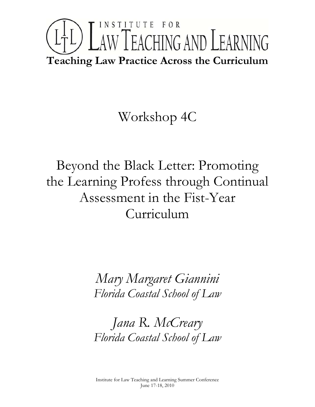# INSTITUTE FOR L<sup>1</sup>L) LAW TEACHING AND LEARNING **Teaching Law Practice Across the Curriculum**

# Workshop 4C

# Beyond the Black Letter: Promoting the Learning Profess through Continual Assessment in the Fist-Year Curriculum

*Mary Margaret Giannini Florida Coastal School of Law* 

*Jana R. McCreary Florida Coastal School of Law*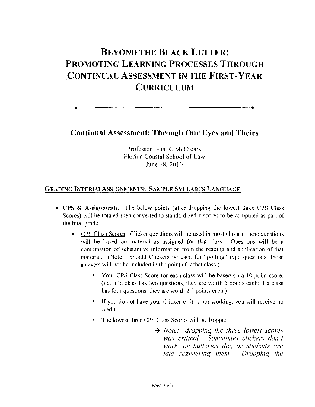# **BEYOND THE BLACK LETTER: PROMOTING LEARNING PROCESSES THROUGH CONTINUAL ASSESSMENT IN THE FIRST-YEAR CURRICULUM**

**Continual Assessment: Through Our Eyes and Theirs**

**• •**

Professor Jana R. McCreary Florida Coastal School of Law June 18,2010

# GRADING INTERIM ASSIGNMENTS: SAMPLE SYLLABUS LANGUAGE

- CPS & Assignments. The below points (after dropping the lowest three CPS Class Scores) will be totaled then converted to standardized z-scores to be computed as part of the final grade.
	- CPS Class Scores. Clicker questions will be used in most classes; these questions will be based on material as assigned for that class. Questions will be a combination of substantive information from the reading and application of that material. (Note: Should Clickers be used for "polling" type questions, those answers will not be included in the points for that class.)
		- Vour CPS Class Score for each class will be based on a IO-point score. (i.e., if a class has two questions, they are worth 5 points each; if a class has four questions, they are worth 2.5 points each.)
		- If you do not have your Clicker or it is not working, you will receive no credit.
		- The lowest three CPS Class Scores will be dropped.
			- -+ *Nole: dropping Ihe Ihree lowesl scores was crilical. Somelimes clickers don* 'I *work, or bal/eries die,* 01' *sludents are lale regislering Ihem. Dropping Ihe*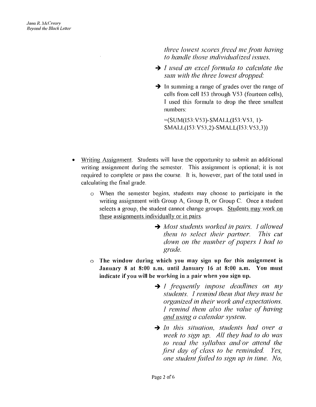*Ihree lowesl scores/i'eed meji'om having* 10 *handle Ihose individualized issues.*

- $\rightarrow$  *I* used an excel formula to calculate the *sum wilh Ihe Ihree lowesl dropped:*
- $\rightarrow$  In summing a range of grades over the range of cells from cell I53 through V53 (fourteen cells), I used this formula to drop the three smallest numbers:

=(SUM(l53 V53)-SMALL(l53 V53, 1)- SMALL(l53:V53,2)-SMALL(153: V53,3»

- Writing Assignment. Students will have the opportunity to submit an additional writing assignment during the semester. This assignment is optional; it is not required to complete or pass the course. It is, however, part of the total used in calculating the final grade.
	- $\circ$  When the semester begins, students may choose to participate in the writing assignment with Group A, Group B, or Group C. Once a student selects a group, the student cannot change groups. Students may work on these assignments individually or in pairs.
		- $\rightarrow$  *Most students worked in pairs. I allowed Ihem* 10 *seleci Iheir parlner. This cui down on Ihe number (}{papers I had* 10 *grade.*
	- $\circ$  The window during which you may sign up for this assignment is January 8 at 8:00 a.m. until January 16 at 8:00 a.m. You must indicate if you will be working in a pair when you sign up.
		- $\rightarrow$  *I* frequently impose deadlines on my *sludenls.* J *remind Ihem Ihal Ihey 11111.1'1 be organized in Iheir work and expeclalions. I remind Ihem also Ihe value* (i{ *having and using a calendar .\yslem.*
		- $\rightarrow$  *In this situation, students had over a week* 10 *sign up. All Ihey had* 10 *do was* 10 *read Ihe syllabus anelor aI/end Ihe jirsl day o{ class* <sup>10</sup> *be reminded. Yes, one student failed* to *sign up in time. No,*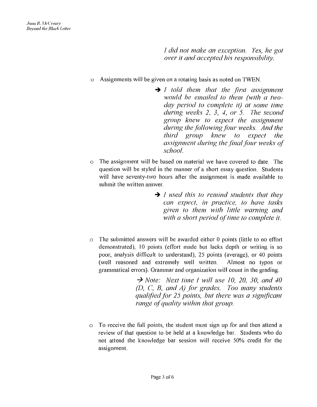J *did not make an exception. Yes, he got over it and accepted his responsibility.* 

- o Assignments will be given on a rotating basis as noted on TWEN.
	- -+ *I told them that the first assignment would be emailed to them (with a twoday period to complete it) at some time during weeks* 2, 3, 4, *or* 5. *The second group knew to expect the assignment during the/ollowing/our weeks. And the third group knew to expect the assignment during the final four weeks of school.*
- o The assignment will be based on material we have covered to date. The question will be styled in the manner of a short essay question. Students will have seventy-two hours after the assignment is made available to submit the written answer.
	- -+ *I used this to remind students that they can expect, in practice, to have tasks given to them with little warning and with a short period of time to complete it.*
- o The submitted answers will be awarded either 0 points (little to no effort demonstrated), 10 points (effort made but lacks depth or writing is so poor, analysis difficult to understand), 25 points (average), or 40 points (well reasoned and extremely well written. Almost no typos or grammatical errors). Grammar and organization will count in the grading.

-7 *Note: Next time* J *will use 10, 20, 30, and 40 (D, C, B, and A) for grades. Too many students qualifiedfhr* 25 *points, but there was a significant range of quality within that group.* 

o To receive the full points, the student must sign up for and then attend a review of that question to be held at a knowledge bar. Students who do not attend the knowledge bar session will receive 50% credit for the assignment.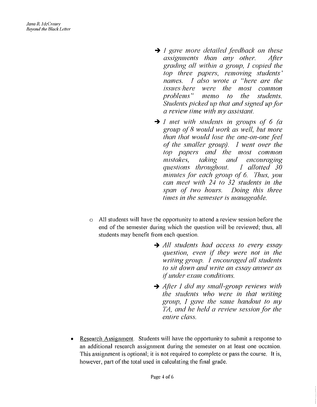- f *gave more detailed feedback on these assignments than any other. After grading all within a group, I copied the top three papers, removing students' names.* f *also wrote a "here are the issues/here were the most common problems" memo to the students. Students picked up that and signed upfor a review time with my assistant.*
- I *met with students in groups ol* 6 *(a group ()l8 would work as well, but more than that would lose the one-on-one feel ol the smaller group).* f *went over the top papers and the most common mistakes, taking and encouraging guestions throughout. I allotted* 30 *minutes jc)r each gl'Oup ol6. Thus, you can meet with <sup>2</sup>'-1 to* 32 *students in the span ol two hours. Doing this three times in the semester is manageable.*
- $\circ$  All students will have the opportunity to attend a review session before the end of the semester during which the question will be reviewed; thus, all students may benefit from each question.
	- $\rightarrow$  *All students had access to every essay question, even il they were not in the writing group.* f *encouraged all students to sit down and write an essay answer as ilunder exam conditions.*
	- *After* I *did my small-group reviews with the students who were in that writing gl'OUp,* f *gave the same handout to my TA, and he held a review session for the entire class.*
- Research Assignment. Students will have the opportunity to submit a response to an additional research assignment during the semester on at least one occasion. This assignment is optional; it is not required to complete or pass the course. It is, however, part of the total used in calculating the final grade.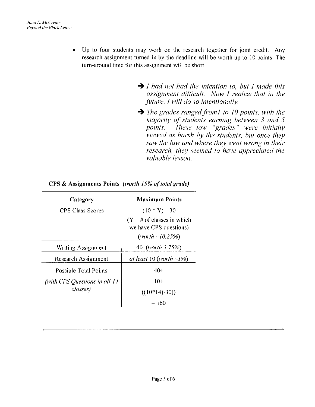- Up to four students may work on the research together for joint credit. Any research assignment turned in by the deadline will be worth up to 10 points. The turn-around time for this assignment will be short.
	- *J had not had the intention to, but J made this assignment difficult. Now* J *realize that in the fitture,* / *will do so intentionally.*
	- → *The grades ranged from l to 10 points, with the majority oj'students earning between* 3 *and* 5 *points. 'lhese low "grades" were initially viewed as harsh by the students, but once they saw the law and where they went wrong in their research, they seemed to have appreciated the valuable lesson.*

| <b>Maximum Points</b>                                                    |
|--------------------------------------------------------------------------|
| $(10 * Y) - 30$                                                          |
| $(Y = #$ of classes in which<br>we have CPS questions)<br>(worth~10.25%) |
| 40 (worth 3.75%)                                                         |
| at least 10 (worth $\sim$ 1%)                                            |
| $40+$                                                                    |
| $10+$                                                                    |
| $((10*14)-30))$                                                          |
| $=160$                                                                   |
|                                                                          |

**CPS** & Assignments Points *(worth 15% of total grade)*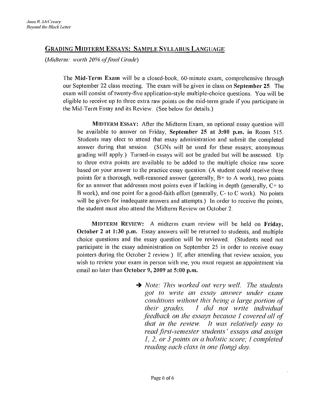# GRADING MIDTERM ESSAYS: SAMPLE SYLLABUS LANGUAGE

*(Midterm: worth 20% offillal Grade)*

The Mid-Term Exam will be a closed-book, 60-minute exam, comprehensive through our September 22 class meeting. The exam will be given in class on September 25. The exam will consist of twenty-five application-style multiple-choice questions. You will be eligible to receive up to three extra raw points on the mid-term grade if you participate in the Mid-Term Essay and its Review. (See below for details.)

MIDTERM ESSAY: After the Midterm Exam, an optional essay question will be available to answer on Friday, September 25 at 3:00 p.m. in Room 515. Students may elect to attend that essay administration and submit the completed answer during that session. (SGNs will be used for these essays; anonymous grading will apply.) Turned-in essays will not be graded but will be assessed. Up to three extra points are available to be added to the multiple choice raw score based on your answer to the practice essay question. (A student could receive three points for a thorough, well-reasoned answer (generally, B+ to A work), two points for an answer that addresses most points even if lacking in depth (generally, C+ to B work), and one point for a good-faith effort (generally, C- to C work). No points will be given for inadequate answers and attempts.) In order to receive the points, the student must also attend the Midterm Review on October 2.

MIDTERM REVIEW: A midterm exam review will be held on Friday, October 2 at 1:30 p,m, Essay answers will be returned to students, and multiple choice questions and the essay question will be reviewed. (Students need not participate in the essay administration on September 2S in order to receive essay pointers during the October 2 review.) If, after attending that review session, you wish to review your exam in person with me, you must request an appointment via email no later than October 9, 2009 at 5:00 p.m.

> $\rightarrow$  *Note: This worked out very well. The students got to write an essay answer under exam conditions without this heing a large portion ()l their grades.* J *did not write individual feedback on the essays because 1 covered all ol that in the review.* It *was relatively ea.sy to read/lrst-semester students' essays and assign J,* 2, *or* 3 *points as a holistic score; 1 completed reading each class in one (long) day.*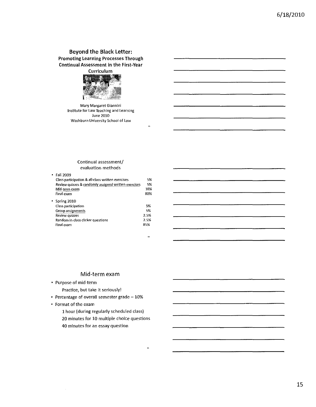# Beyond the Black letter: Promoting Learning Processes Through Continual Assessment in the First-Year



Mary Margaret Giannini Institute for law Teaching and learning June 2010 Washburn University School of law

#### Continual assessment/ evaluation methods

| Fall 2009                                            |      |
|------------------------------------------------------|------|
| Class participation & all-class written exercises    | 5%   |
| Review quizzes & randomly assigned written exercises | 5%   |
| Mid-term exam                                        | 10%  |
| Final exam                                           | 80%  |
| Spring 2010                                          |      |
| Class participation                                  | 5%   |
| Group assignments                                    | 5%   |
| Review quizzes                                       | 2.5% |
| Random in-class clicker questions                    | 2.5% |
| Final exam                                           | 85%  |
|                                                      |      |

 $\ddot{\phantom{a}}$ 

 $\bar{\alpha}$ 

 $\ddot{\mathbf{a}}$ 

## Mid-term exam

Purpose of mid-term

Practice, but take it seriously!

- Percentage of overall semester grade  $-10\%$
- Format of the exam

 $\sim$ 

1 hour (during regularly scheduled class) 20 minutes for 10 multiple choice questions **40** minutes for an essay question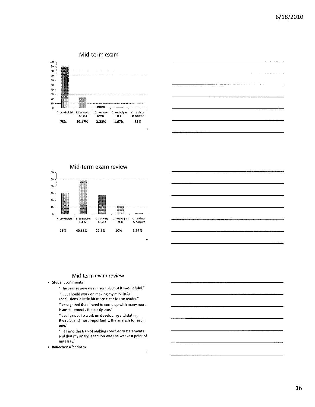

Mid-term exam review 60 50 40  $30$ 20 10  $\mathbf{a}$ C Not very D. Not helpful [ I,Fdrot A. Very helpful – B. Somewhat<br>helpful participate hlpful alall 25% 40.83% 22.5% 10% 1.67%

### Mid-term exam review

Student comments

"The peer review was miserable, but it was helpful."

- "I, .. should work on making my mini-IRAC
- conclusions a little bit more dear to the reader." "I recognized that I need to come up with many more issue statements than ontyone."
- "I really need to work on developing and stating the rule, and most importantly, the analysis for each one,"
- "I fell into the trap of making conclusory statements and that my analysis section was the weakest point of my essay,"
- Reflections/feedback

 $\hat{\mathbf{0}}$ 

 $\ddot{\mathbf{r}}$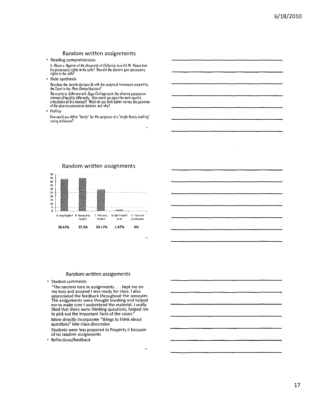### Random written assignments

Reading comprehension

In *Moore v. Regents of the University of California, how did Mr. Moore lose<br>his possessory rights to his cells? How did the doctors gain possessory<br>rights to the cells?* 

Rule synthesis

How does the *Wretto* decision £1 ~th the analytical frame'MJrk creatEd by the Court in the *Penn* Centra/decision?

The courts in *fulkerson* and *Tioga Loal* approach the adverse possession<br>element of hostility differently. How would you describe each court's<br>articulation of this element? Which do you think better serves the purposes<br>o

· Policy

How would you define "family" for the purposes of a "single-family dwelling" zoning ordinance?



Random written assignments

#### Random written assignments

Student comments

"The random turn in assignments  $\ldots$  kept me on my toes and assured I was ready for class. I also appreciated the feedback throughout the semester. The assignments were thought invoking and helped me to make sure I understood the material. I really liked that there were thinking questions, helped me to pick out the important facts of the cases:' More directly incorporate "things to think about questions" into class discussion Students were less prepared in Property II because of no random assignments

Reflectio*nsl*feedback

s,

 $\alpha$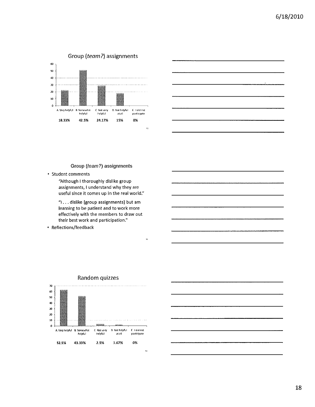



Group (team?) assignments

• Student comments

"Aithough I thoroughly dislike group **assignments, I understand why they are useful since it comes up in the real world:'**

**III ... dislike [group assignments] but am learning to be patient and to work more** effectively with the members to draw out their best work and participation."

33

Reflections/feedback



### Random quizzes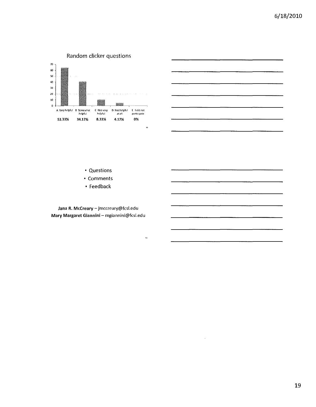

| and the control of the control of<br><b>PERSONAL PROPERTY</b> |  |  |
|---------------------------------------------------------------|--|--|
|                                                               |  |  |
|                                                               |  |  |
|                                                               |  |  |
|                                                               |  |  |

- Questions
- Comments
- Feedback

Jana R. McCreary - jmccreary@fcsl.edu Mary Margaret Glannlnl- mgiannini@fcsl.edu

56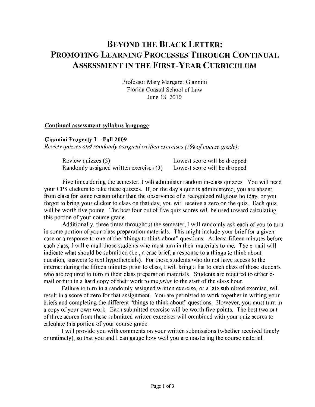# BEYOND THE BLACK LETTER: PROMOTING LEARNING PROCESSES THROUGH CONTINUAL ASSESSMENT IN THE FIRST-YEAR CURRICULUM

Professor Mary Margaret Giannini Florida Coastal School of Law June 18,2010

### Continual assessment syllabus langnage

### Giannini Property I - Fall 2009

*Review qUizzes and randomly assigned written exercises* (5% *(!f course grade):*

| Review quizzes (5)                      | Lowest score will be dropped |
|-----------------------------------------|------------------------------|
| Randomly assigned written exercises (3) | Lowest score will be dropped |

Five times during the semester, I will administer random in-class quizzes. You will need your CPS clickers to take these quizzes. If, on the day a quiz is administered, you are absent from class for some reason other than the observance of a recognized religious holiday, or you forgot to bring your clicker to class on that day, you will receive a zero on the quiz. Each quiz will be worth five points. The best four out of five quiz scores will be used toward calculating this portion of your course grade.

Additionally, three times throughout the semester, I will randomly ask each of you to turn in some portion of your class preparation materials. This might include your brief for a given case or a response to one of the "things to think about" questions. At least fifteen minutes before each class, I will e-mail those students who must turn in their materials to me. The e-mail will indicate what should be submitted (i.e., a case brief, a response to a things to think about question, answers to text hypothetcials). For those students who do not have access to the internet during the fifteen minutes prior to class, I will bring a list to each class of those students who are required to turn in their class preparation materials. Students are required to either email or turn in a hard copy of their work to me *prior* to the start of the class hour.

Failure to turn in a randomly assigned written exercise, or a late submitted exercise, will result in a score of zero for that assignment. You are permitted to work together in writing your briefs and completing the different "things to think about" questions. However, you must turn in a copy of your own work. Each submitted exercise will be worth five points. The best two out ofthree scores from these submitted written exercises will combined with your quiz scores to calculate this portion of your course grade.

I will provide you with comments on your written submissions (whether received timely or untimely), so that you and I can gauge how well you are mastering the course material.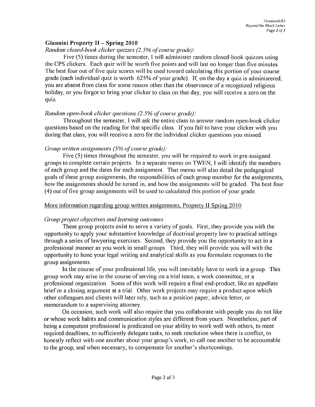# Giannini Property II - Spring 20 I0

# *Random closed-book clicker qnizzes* (2.5% *ofcoill'se grade):*

Five (5) times during the semester, I will administer random closed-book quizzes using the CPS clickers. Each quiz will be worth five points and will last no longer than five minutes. The best four out of five quiz scores will be used toward calculating this portion of your course grade (each individual quiz is worth .625% of your grade). If, on the day a quiz is administered, you are absent from class for some reason other than the observance of a recognized religious holiday, or you forgot to bring your clicker to class on that day, you will receive a zero on the qUIz.

# *Random open-book clicker questions (2.5% of course grade):*

Throughout the semester, I will ask the entire class to answer random open-book clicker questions based on the reading for that specific class. If you fail to have your clicker with you during that class, you will receive a zero for the individual clicker questions you missed.

# *Group* written *assignments* (5% *of course grade):*

Five (5) times throughout the semester, you will be required to work in pre-assigned groups to complete certain projects. In a separate memo on TWEN, I will identify the members of each group and the dates for each assignment. That memo will also detail the pedagogical goals of these group assignments, the responsibilities of each group member for the assignments, how the assignments should be turned in, and how the assignments will be graded. The best four (4) out offive group assignments will be used to calculated this portion of your grade.

# More information regarding group written assignments, Property II Spring 2010

# *Group project objectives and learning outcomes*

These group projects exist to serve a variety of goals. First, they provide you with the opportunity to apply your substantive knowledge of doctrinal property law to practical settings through a series of lawyering exercises. Second, they provide you the opportunity to act in a professional manner as you work in small groups. Third, they will provide you will with the opportunity to hone your legal writing and analytical skills as you formulate responses to the group assignments.

In the course of your professional life, you will inevitably have to work in a group. This group work may arise in the course of serving on a trial team, a work committee, or a professional organization. Some ofthis work will require a final end-product, like an appellate brief or a closing argument at a trial. Other work projects may require a product upon which other colleagues and clients will later rely, such as a position paper, advice letter, or memorandum to a supervising attorney.

On occasion, such work will also require that you collaborate with people you do not like or whose work habits and communication styles are different from yours. Nonetheless, part of being a competent professional is predicated on your ability to work well with others, to meet required deadlines, to sufficiently delegate tasks, to seek resolution when there is contlict, to honestly retlect with one another about your group's work, to call one another to be accountable to the group, and when necessary, to compensate for another's shortcomings.